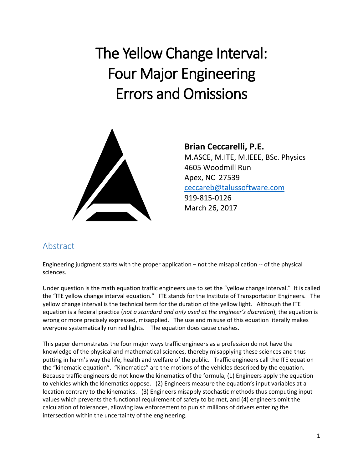# The Yellow Change Interval: Four Major Engineering Errors and Omissions



**Brian Ceccarelli, P.E.** M.ASCE, M.ITE, M.IEEE, BSc. Physics 4605 Woodmill Run Apex, NC 27539 [ceccareb@talussoftware.com](mailto:ceccareb@talussoftware.com) 919-815-0126 March 26, 2017

## Abstract

Engineering judgment starts with the proper application – not the misapplication -- of the physical sciences.

Under question is the math equation traffic engineers use to set the "yellow change interval." It is called the "ITE yellow change interval equation." ITE stands for the Institute of Transportation Engineers. The yellow change interval is the technical term for the duration of the yellow light. Although the ITE equation is a federal practice (*not a standard and only used at the engineer's discretion*), the equation is wrong or more precisely expressed, misapplied. The use and misuse of this equation literally makes everyone systematically run red lights. The equation does cause crashes.

This paper demonstrates the four major ways traffic engineers as a profession do not have the knowledge of the physical and mathematical sciences, thereby misapplying these sciences and thus putting in harm's way the life, health and welfare of the public. Traffic engineers call the ITE equation the "kinematic equation". "Kinematics" are the motions of the vehicles described by the equation. Because traffic engineers do not know the kinematics of the formula, (1) Engineers apply the equation to vehicles which the kinematics oppose. (2) Engineers measure the equation's input variables at a location contrary to the kinematics. (3) Engineers misapply stochastic methods thus computing input values which prevents the functional requirement of safety to be met, and (4) engineers omit the calculation of tolerances, allowing law enforcement to punish millions of drivers entering the intersection within the uncertainty of the engineering.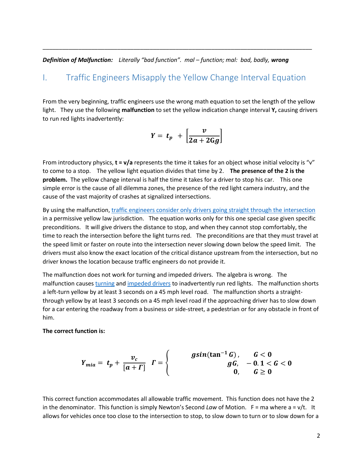*Definition of Malfunction: Literally "bad function". mal – function; mal: bad, badly, wrong*

### I. Traffic Engineers Misapply the Yellow Change Interval Equation

\_\_\_\_\_\_\_\_\_\_\_\_\_\_\_\_\_\_\_\_\_\_\_\_\_\_\_\_\_\_\_\_\_\_\_\_\_\_\_\_\_\_\_\_\_\_\_\_\_\_\_\_\_\_\_\_\_\_\_\_\_\_\_\_\_\_\_\_\_\_\_\_\_\_\_\_\_\_\_\_\_\_\_

From the very beginning, traffic engineers use the wrong math equation to set the length of the yellow light. They use the following **malfunction** to set the yellow indication change interval **Y,** causing drivers to run red lights inadvertently:

$$
Y = t_p + \left[\frac{v}{2a + 2Gg}\right]
$$

From introductory physics, **t** = v/a represents the time it takes for an object whose initial velocity is "v" to come to a stop. The yellow light equation divides that time by 2. **The presence of the 2 is the problem.** The yellow change interval is half the time it takes for a driver to stop his car. This one simple error is the cause of all dilemma zones, the presence of the red light camera industry, and the cause of the vast majority of crashes at signalized intersections.

By using the malfunction, [traffic engineers consider only drivers going straight through the intersection](http://redlightrobber.com/red/links_pdf/Yellow-Light-Duration-Derivation.pdf) in a permissive yellow law jurisdiction. The equation works only for this one special case given specific preconditions. It will give drivers the distance to stop, and when they cannot stop comfortably, the time to reach the intersection before the light turns red. The preconditions are that they must travel at the speed limit or faster on route into the intersection never slowing down below the speed limit. The drivers must also know the exact location of the critical distance upstream from the intersection, but no driver knows the location because traffic engineers do not provide it.

The malfunction does not work for turning and impeded drivers. The algebra is wrong. The malfunction cause[s turning](https://youtu.be/83h_cvLlC1w) and [impeded drivers](https://youtu.be/mGRP0_PLpFU) to inadvertently run red lights. The malfunction shorts a left-turn yellow by at least 3 seconds on a 45 mph level road. The malfunction shorts a straightthrough yellow by at least 3 seconds on a 45 mph level road if the approaching driver has to slow down for a car entering the roadway from a business or side-street, a pedestrian or for any obstacle in front of him.

#### **The correct function is:**

$$
Y_{mia} = t_p + \frac{v_c}{[a + \Gamma]} \quad \Gamma = \begin{cases} \text{gsin}(\tan^{-1} G), & G < 0 \\ gG, & -0.1 < G < 0 \\ 0, & G \ge 0 \end{cases}
$$

This correct function accommodates all allowable traffic movement. This function does not have the 2 in the denominator. This function is simply Newton's Second *Law* of Motion.  $F = ma$  where  $a = v/t$ . It allows for vehicles once too close to the intersection to stop, to slow down to turn or to slow down for a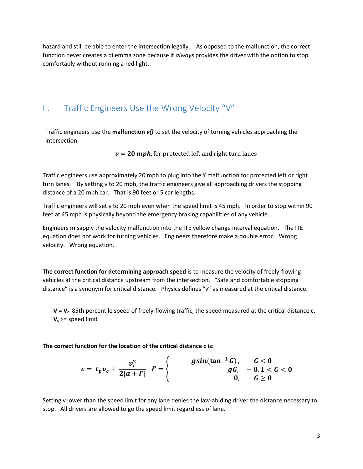hazard and still be able to enter the intersection legally. As opposed to the malfunction, the correct function never creates a dilemma zone because it *always* provides the driver with the option to stop comfortably without running a red light.

## II. Traffic Engineers Use the Wrong Velocity "V"

Traffic engineers use the **malfunction** *v()* to set the velocity of turning vehicles approaching the intersection.

 $v = 20$  mph, for protected left and right turn lanes

Traffic engineers use approximately 20 mph to plug into the Y malfunction for protected left or right turn lanes. By setting v to 20 mph, the traffic engineers give all approaching drivers the stopping distance of a 20 mph car. That is 90 feet or 5 car lengths.

Traffic engineers will set v to 20 mph even when the speed limit is 45 mph. In order to stop within 90 feet at 45 mph is physically beyond the emergency braking capabilities of any vehicle.

Engineers misapply the velocity malfunction into the ITE yellow change interval equation. The ITE equation does not work for turning vehicles. Engineers therefore make a double error. Wrong velocity. Wrong equation.

**The correct function for determining approach speed** is to measure the velocity of freely-flowing vehicles at the critical distance upstream from the intersection. "Safe and comfortable stopping distance" is a synonym for critical distance. Physics defines "v" as measured at the critical distance.

**V** = **Vc** 85th percentile speed of freely-flowing traffic, the speed measured at the critical distance **c**. **V<sup>c</sup>** >= speed limit

**The correct function for the location of the critical distance c is:**

$$
c = t_p v_c + \frac{v_c^2}{2[a + \Gamma]} \quad \Gamma = \begin{cases} \text{gsin}(\tan^{-1} G), & G < 0 \\ gG, & -0.1 < G < 0 \\ 0, & G \ge 0 \end{cases}
$$

Setting v lower than the speed limit for any lane denies the law-abiding driver the distance necessary to stop. All drivers are allowed to go the speed limit regardless of lane.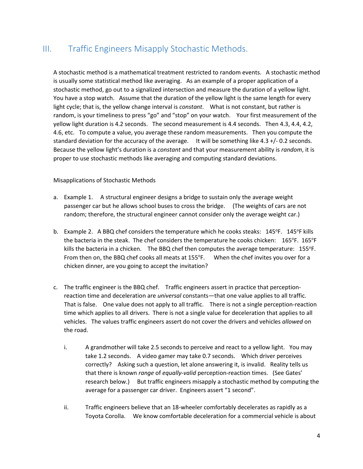## III. Traffic Engineers Misapply Stochastic Methods.

A stochastic method is a mathematical treatment restricted to random events. A stochastic method is usually some statistical method like averaging. As an example of a proper application of a stochastic method, go out to a signalized intersection and measure the duration of a yellow light. You have a stop watch. Assume that the duration of the yellow light is the same length for every light cycle; that is, the yellow change interval is *constant*. What is not constant, but rather is random, is your timeliness to press "go" and "stop" on your watch. Your first measurement of the yellow light duration is 4.2 seconds. The second measurement is 4.4 seconds. Then 4.3, 4.4, 4.2, 4.6, etc. To compute a value, you average these random measurements. Then you compute the standard deviation for the accuracy of the average. It will be something like 4.3 +/- 0.2 seconds. Because the yellow light's duration is a *constant* and that your measurement ability is *random*, it is proper to use stochastic methods like averaging and computing standard deviations.

Misapplications of Stochastic Methods

- a. Example 1. A structural engineer designs a bridge to sustain only the average weight passenger car but he allows school buses to cross the bridge. (The weights of cars are not random; therefore, the structural engineer cannot consider only the average weight car.)
- b. Example 2. A BBQ chef considers the temperature which he cooks steaks: 145°F. 145°F kills the bacteria in the steak. The chef considers the temperature he cooks chicken:  $165^{\circ}$ F.  $165^{\circ}$ F kills the bacteria in a chicken. The BBQ chef then computes the average temperature:  $155^{\circ}$ F. From then on, the BBQ chef cooks all meats at 155°F. When the chef invites you over for a chicken dinner, are you going to accept the invitation?
- c. The traffic engineer is the BBQ chef. Traffic engineers assert in practice that perceptionreaction time and deceleration are *universal* constants—that one value applies to all traffic. That is false. One value does not apply to all traffic. There is not a single perception-reaction time which applies to all drivers. There is not a single value for deceleration that applies to all vehicles. The values traffic engineers assert do not cover the drivers and vehicles *allowed* on the road.
	- i. A grandmother will take 2.5 seconds to perceive and react to a yellow light. You may take 1.2 seconds. A video gamer may take 0.7 seconds. Which driver perceives correctly? Asking such a question, let alone answering it, is invalid. Reality tells us that there is known *range* of *equally-valid* perception-reaction times. (See Gates' research below.) But traffic engineers misapply a stochastic method by computing the average for a passenger car driver. Engineers assert "1 second".
	- ii. Traffic engineers believe that an 18-wheeler comfortably decelerates as rapidly as a Toyota Corolla. We know comfortable deceleration for a commercial vehicle is about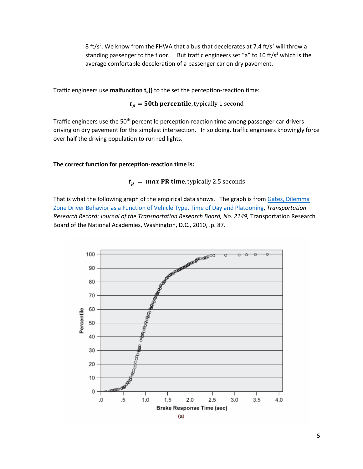8 ft/s<sup>2</sup>. We know from the FHWA that a bus that decelerates at 7.4 ft/s<sup>2</sup> will throw a standing passenger to the floor. But traffic engineers set "a" to 10 ft/s<sup>2</sup> which is the average comfortable deceleration of a passenger car on dry pavement.

Traffic engineers use **malfunction tp()** to the set the perception-reaction time:

$$
t_p = 50
$$
th percentile, typically 1 second

Traffic engineers use the 50<sup>th</sup> percentile perception-reaction time among passenger car drivers driving on dry pavement for the simplest intersection. In so doing, traffic engineers knowingly force over half the driving population to run red lights.

#### **The correct function for perception-reaction time is:**

#### $t_p = max$  PR time, typically 2.5 seconds

That is what the following graph of the empirical data shows. The graph is from Gates, Dilemma [Zone Driver Behavior as a Function of Vehicle Type, Time of Day and Platooning,](http://redlightrobber.com/red/links_pdf/Dilemma-Zone-Driver-Behavior-as-a-Function-of-Vehicle-Type-Time-of-Day-and-Platooning.pdf) *Transportation*  Research Record: Journal of the Transportation Research Board, No. 2149, Transportation Research Board of the National Academies, Washington, D.C., 2010, .p. 87.

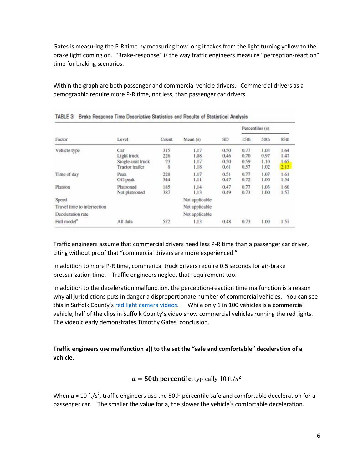Gates is measuring the P-R time by measuring how long it takes from the light turning yellow to the brake light coming on. "Brake-response" is the way traffic engineers measure "perception-reaction" time for braking scenarios.

Within the graph are both passenger and commercial vehicle drivers. Commercial drivers as a demographic require more P-R time, not less, than passenger car drivers.

| Factor                                       | Level                                                             | Count                 | Mean (s)                         | SD.                          | Percentiles (s)              |                              |                              |
|----------------------------------------------|-------------------------------------------------------------------|-----------------------|----------------------------------|------------------------------|------------------------------|------------------------------|------------------------------|
|                                              |                                                                   |                       |                                  |                              | 15th                         | 50th                         | 85th                         |
| Vehicle type                                 | Car<br>Light truck<br>Single-unit truck<br><b>Tractor</b> trailer | 315<br>226<br>23<br>8 | 1.17<br>1.08<br>1.17<br>1.18     | 0.50<br>0.46<br>0.50<br>0.61 | 0.77<br>0.70<br>0.59<br>0.57 | 1.03<br>0.97<br>1.10<br>1.02 | 1.64<br>1.47<br>1.65<br>2.13 |
| Time of day                                  | Peak<br>Off-peak                                                  | 228<br>344            | 1.17<br>1.11                     | 0.51<br>0.47                 | 0.77<br>0.72                 | 1.07<br>1.00                 | 1.61<br>1.54                 |
| Platoon                                      | Platooned<br>Not platooned                                        | 185<br>387            | 1.14<br>1.13                     | 0.47<br>0.49                 | 0.77<br>0.73                 | 1.03<br>1.00                 | 1.60<br>1.57                 |
| Speed<br>Travel time to intersection         |                                                                   |                       | Not applicable<br>Not applicable |                              |                              |                              |                              |
| Deceleration rate<br>Full model <sup>®</sup> | All data                                                          | 572                   | Not applicable<br>1.13           | 0.48                         | 0.73                         | 1.00                         | 1.57                         |

TABLE 3 Brake Besnonse Time Descriptive Statistics and Results of Statistical Analysis

Traffic engineers assume that commercial drivers need less P-R time than a passenger car driver, citing without proof that "commercial drivers are more experienced."

In addition to more P-R time, commerical truck drivers require 0.5 seconds for air-brake pressurization time. Traffic engineers neglect that requirement too.

In addition to the deceleration malfunction, the perception-reaction time malfunction is a reason why all jurisdictions puts in danger a disproportionate number of commercial vehicles. You can see this in Suffolk County's [red light camera videos.](https://youtu.be/GDspLYpM5eI) While only 1 in 100 vehicles is a commercial vehicle, half of the clips in Suffolk County's video show commercial vehicles running the red lights. The video clearly demonstrates Timothy Gates' conclusion.

**Traffic engineers use malfunction a() to the set the "safe and comfortable" deceleration of a vehicle.** 

 $a = 50$ th percentile, typically 10 ft/s<sup>2</sup>

When **a** = 10 ft/s<sup>2</sup>, traffic engineers use the 50th percentile safe and comfortable deceleration for a passenger car. The smaller the value for a, the slower the vehicle's comfortable deceleration.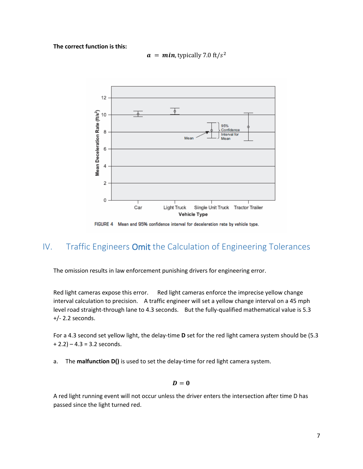#### **The correct function is this:**

$$
\boldsymbol{a} = \boldsymbol{min}
$$
, typically 7.0 ft/s<sup>2</sup>



FIGURE 4 Mean and 95% confidence interval for deceleration rate by vehicle type.

## IV. Traffic Engineers Omit the Calculation of Engineering Tolerances

The omission results in law enforcement punishing drivers for engineering error.

Red light cameras expose this error. Red light cameras enforce the imprecise yellow change interval calculation to precision. A traffic engineer will set a yellow change interval on a 45 mph level road straight-through lane to 4.3 seconds. But the fully-qualified mathematical value is 5.3 +/- 2.2 seconds.

For a 4.3 second set yellow light, the delay-time **D** set for the red light camera system should be (5.3  $+ 2.2$ ) – 4.3 = 3.2 seconds.

a. The **malfunction D()** is used to set the delay-time for red light camera system.

$$
\bm{D}=\bm{0}
$$

A red light running event will not occur unless the driver enters the intersection after time D has passed since the light turned red.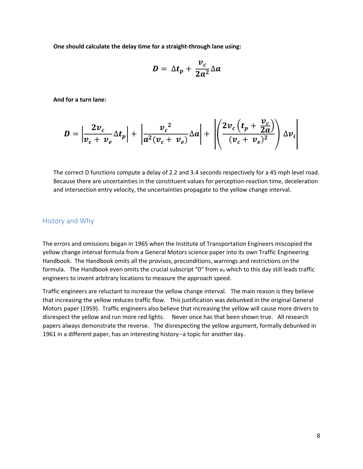**One should calculate the delay time for a straight-through lane using:**

$$
D = \Delta t_p + \frac{v_c}{2a^2} \Delta a
$$

**And for a turn lane:**

$$
D = \left| \frac{2v_c}{v_c + v_e} \Delta t_p \right| + \left| \frac{v_c^2}{a^2 (v_c + v_e)} \Delta a \right| + \left| \left( \frac{2v_c (t_p + \frac{v_c}{2a})}{(v_c + v_e)^2} \right) \Delta v_i \right|
$$

The correct D functions compute a delay of 2.2 and 3.4 seconds respectively for a 45 mph level road. Because there are uncertainties in the constituent values for perception-reaction time, deceleration and intersection entry velocity, the uncertainties propagate to the yellow change interval.

#### History and Why

The errors and omissions began in 1965 when the Institute of Transportation Engineers miscopied the yellow change interval formula from a General Motors science paper into its own Traffic Engineering Handbook. The Handbook omits all the provisos, preconditions, warnings and restrictions on the formula. The Handbook even omits the crucial subscript " $0$ " from  $v_0$  which to this day still leads traffic engineers to invent arbitrary locations to measure the approach speed.

Traffic engineers are reluctant to increase the yellow change interval. The main reason is they believe that increasing the yellow reduces traffic flow. This justification was debunked in the original General Motors paper (1959). Traffic engineers also believe that increasing the yellow will cause more drivers to disrespect the yellow and run more red lights. Never once has that been shown true. All research papers always demonstrate the reverse. The disrespecting the yellow argument, formally debunked in 1961 in a different paper, has an interesting history--a topic for another day.